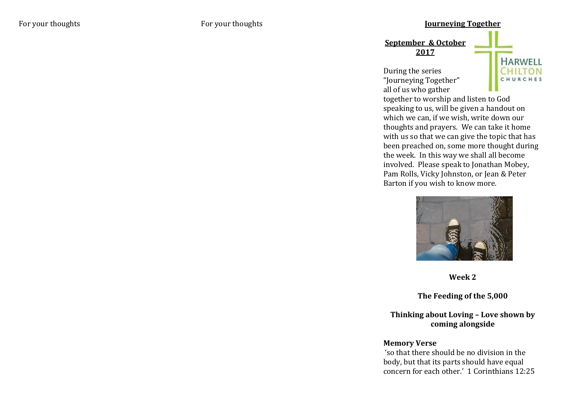## For your thoughts **For your thoughts For your thoughts Journeying Together**

**September & October 2017**

During the series "Journeying Together" all of us who gather



together to worship and listen to God speaking to us, will be given a handout on which we can, if we wish, write down our thoughts and prayers. We can take it home with us so that we can give the topic that has been preached on, some more thought during the week. In this way we shall all become involved. Please speak to Jonathan Mobey, Pam Rolls, Vicky Johnston, or Jean & Peter Barton if you wish to know more.



**Week 2**

**The Feeding of the 5,000**

## **Thinking about Loving – Love shown by coming alongside**

## **Memory Verse**

'so that there should be no division in the body, but that its parts should have equal concern for each other.' 1 Corinthians 12:25